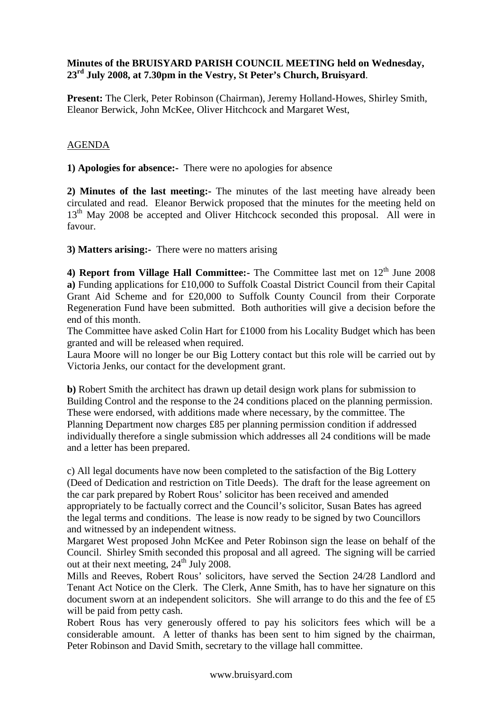## **Minutes of the BRUISYARD PARISH COUNCIL MEETING held on Wednesday, 23rd July 2008, at 7.30pm in the Vestry, St Peter's Church, Bruisyard**.

**Present:** The Clerk, Peter Robinson (Chairman), Jeremy Holland-Howes, Shirley Smith, Eleanor Berwick, John McKee, Oliver Hitchcock and Margaret West,

## AGENDA

**1) Apologies for absence:-** There were no apologies for absence

**2) Minutes of the last meeting:-** The minutes of the last meeting have already been circulated and read. Eleanor Berwick proposed that the minutes for the meeting held on 13<sup>th</sup> May 2008 be accepted and Oliver Hitchcock seconded this proposal. All were in favour.

**3) Matters arising:-** There were no matters arising

**4) Report from Village Hall Committee:** The Committee last met on 12<sup>th</sup> June 2008 **a)** Funding applications for £10,000 to Suffolk Coastal District Council from their Capital Grant Aid Scheme and for £20,000 to Suffolk County Council from their Corporate Regeneration Fund have been submitted. Both authorities will give a decision before the end of this month.

The Committee have asked Colin Hart for £1000 from his Locality Budget which has been granted and will be released when required.

Laura Moore will no longer be our Big Lottery contact but this role will be carried out by Victoria Jenks, our contact for the development grant.

**b)** Robert Smith the architect has drawn up detail design work plans for submission to Building Control and the response to the 24 conditions placed on the planning permission. These were endorsed, with additions made where necessary, by the committee. The Planning Department now charges £85 per planning permission condition if addressed individually therefore a single submission which addresses all 24 conditions will be made and a letter has been prepared.

c) All legal documents have now been completed to the satisfaction of the Big Lottery (Deed of Dedication and restriction on Title Deeds). The draft for the lease agreement on the car park prepared by Robert Rous' solicitor has been received and amended appropriately to be factually correct and the Council's solicitor, Susan Bates has agreed the legal terms and conditions. The lease is now ready to be signed by two Councillors and witnessed by an independent witness.

Margaret West proposed John McKee and Peter Robinson sign the lease on behalf of the Council. Shirley Smith seconded this proposal and all agreed. The signing will be carried out at their next meeting,  $24<sup>th</sup>$  July 2008.

Mills and Reeves, Robert Rous' solicitors, have served the Section 24/28 Landlord and Tenant Act Notice on the Clerk. The Clerk, Anne Smith, has to have her signature on this document sworn at an independent solicitors. She will arrange to do this and the fee of £5 will be paid from petty cash.

Robert Rous has very generously offered to pay his solicitors fees which will be a considerable amount. A letter of thanks has been sent to him signed by the chairman, Peter Robinson and David Smith, secretary to the village hall committee.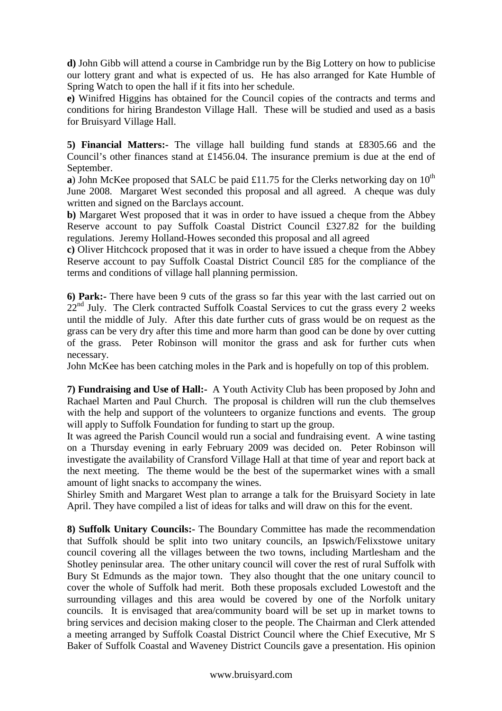**d)** John Gibb will attend a course in Cambridge run by the Big Lottery on how to publicise our lottery grant and what is expected of us. He has also arranged for Kate Humble of Spring Watch to open the hall if it fits into her schedule.

**e)** Winifred Higgins has obtained for the Council copies of the contracts and terms and conditions for hiring Brandeston Village Hall. These will be studied and used as a basis for Bruisyard Village Hall.

**5) Financial Matters:-** The village hall building fund stands at £8305.66 and the Council's other finances stand at £1456.04. The insurance premium is due at the end of September.

**a**) John McKee proposed that SALC be paid £11.75 for the Clerks networking day on  $10^{th}$ June 2008. Margaret West seconded this proposal and all agreed. A cheque was duly written and signed on the Barclays account.

**b)** Margaret West proposed that it was in order to have issued a cheque from the Abbey Reserve account to pay Suffolk Coastal District Council £327.82 for the building regulations. Jeremy Holland-Howes seconded this proposal and all agreed

**c)** Oliver Hitchcock proposed that it was in order to have issued a cheque from the Abbey Reserve account to pay Suffolk Coastal District Council £85 for the compliance of the terms and conditions of village hall planning permission.

**6) Park:-** There have been 9 cuts of the grass so far this year with the last carried out on 22<sup>nd</sup> July. The Clerk contracted Suffolk Coastal Services to cut the grass every 2 weeks until the middle of July. After this date further cuts of grass would be on request as the grass can be very dry after this time and more harm than good can be done by over cutting of the grass. Peter Robinson will monitor the grass and ask for further cuts when necessary.

John McKee has been catching moles in the Park and is hopefully on top of this problem.

**7) Fundraising and Use of Hall:-** A Youth Activity Club has been proposed by John and Rachael Marten and Paul Church. The proposal is children will run the club themselves with the help and support of the volunteers to organize functions and events. The group will apply to Suffolk Foundation for funding to start up the group.

It was agreed the Parish Council would run a social and fundraising event. A wine tasting on a Thursday evening in early February 2009 was decided on. Peter Robinson will investigate the availability of Cransford Village Hall at that time of year and report back at the next meeting. The theme would be the best of the supermarket wines with a small amount of light snacks to accompany the wines.

Shirley Smith and Margaret West plan to arrange a talk for the Bruisyard Society in late April. They have compiled a list of ideas for talks and will draw on this for the event.

**8) Suffolk Unitary Councils:-** The Boundary Committee has made the recommendation that Suffolk should be split into two unitary councils, an Ipswich/Felixstowe unitary council covering all the villages between the two towns, including Martlesham and the Shotley peninsular area. The other unitary council will cover the rest of rural Suffolk with Bury St Edmunds as the major town. They also thought that the one unitary council to cover the whole of Suffolk had merit. Both these proposals excluded Lowestoft and the surrounding villages and this area would be covered by one of the Norfolk unitary councils. It is envisaged that area/community board will be set up in market towns to bring services and decision making closer to the people. The Chairman and Clerk attended a meeting arranged by Suffolk Coastal District Council where the Chief Executive, Mr S Baker of Suffolk Coastal and Waveney District Councils gave a presentation. His opinion